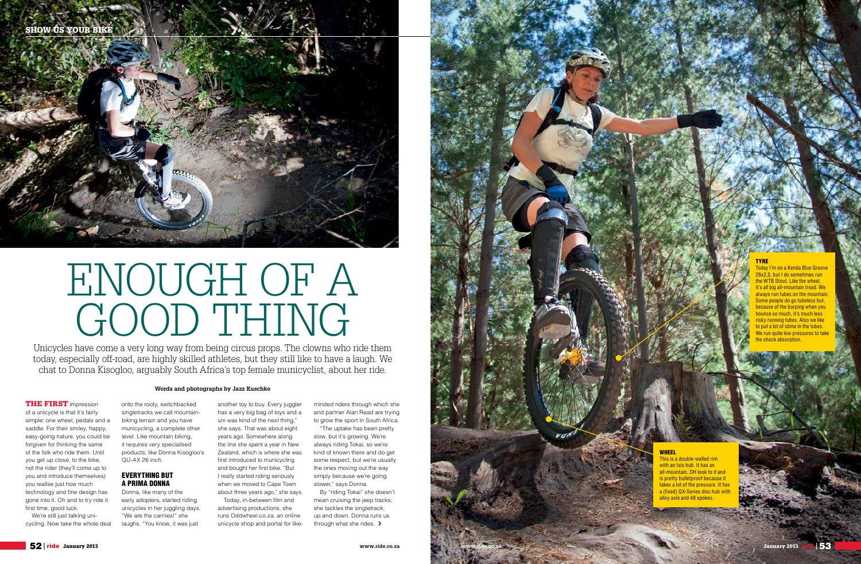

### **TYRE**



# ENOUGH OF A GOOD THING

of a unicycle is that it's fairly simple: one wheel, pedals and a saddle. For their smiley, happy, easy-going nature, you could be forgiven for thinking the same of the folk who ride them. Until you get up close, to the bike, not the rider (they'll come up to you and introduce themselves) you realise just how much technology and fine design has gone into it. Oh and to try ride it first time, good luck.

We're still just talking unicycling. Now take the whole deal onto the rooty, switchbacked singletracks we call mountainbiking terrain and you have municycling, a complete other level. Like mountain biking, it requires very specialised products, like Donna Kisogloo's QU-AX 26 inch.

# Everything but a prima donna

Donna, like many of the early adopters, started riding unicycles in her juggling days. "We are the carnies!" she laughs. "You know, it was just

By "riding Tokai" she doesn't mean cruising the jeep tracks; she tackles the singletrack, up and down. Donna runs us through what she rides.  $\blacktriangleright$ 

Unicycles have come a very long way from being circus props. The clowns who ride them today, especially off-road, are highly skilled athletes, but they still like to have a laugh. We chat to Donna Kisogloo, arguably South Africa's top female municyclist, about her ride.

> another toy to buy. Every juggler has a very big bag of toys and a uni was kind of the next thing," she says. That was about eight years ago. Somewhere along the line she spent a year in New Zealand, which is where she was first introduced to municycling and bought her first bike. "But I really started riding seriously when we moved to Cape Town about three years ago," she says.

Today, in-between film and advertising productions, she runs Oddwheel.co.za, an online unicycle shop and portal for like-

minded riders through which she and partner Alan Read are trying to grow the sport in South Africa.

"The uptake has been pretty slow, but it's growing. We're always riding Tokai, so we're kind of known there and do get some respect, but we're usually the ones moving out the way simply because we're going slower," says Donna.

Today I'm on a Kenda Blue Groove 26x2,5, but I do sometimes run the WTB Stout. Like the wheel, it's all big all-mountain tread. We always run tubes on the mountain. Some people do go tubeless but, because of the burping when you bounce so much, it's much less risky running tubes. Also we like to put a lot of slime in the tubes. We run quite low pressures to take the shock absorption.

### Wheel

This is a double-walled rim with an Isis hub. It has an all-mountain, DH look to it and is pretty bulletproof because it takes a lot of the pressure. It has a (fixed) QX-Series disc hub w alloy axle and 48 spokes.

**Words and photographs by Jazz Kuschke**

# **THE FIRST** impression